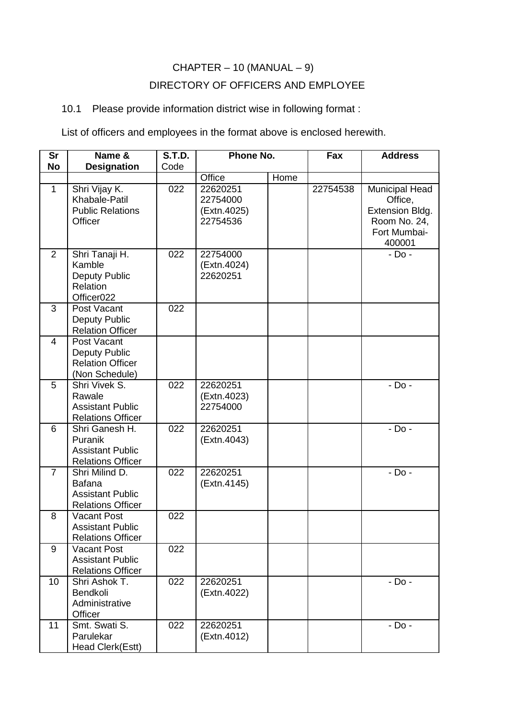## $CHAPTER - 10 (MANUAL - 9)$ DIRECTORY OF OFFICERS AND EMPLOYEE

## 10.1 Please provide information district wise in following format :

List of officers and employees in the format above is enclosed herewith.

| <b>Sr</b><br><b>No</b> | Name &<br><b>Designation</b>                                                           | <b>S.T.D.</b><br>Code | Phone No.                                       |      | Fax      | <b>Address</b>                                                                                |
|------------------------|----------------------------------------------------------------------------------------|-----------------------|-------------------------------------------------|------|----------|-----------------------------------------------------------------------------------------------|
|                        |                                                                                        |                       | Office                                          | Home |          |                                                                                               |
| $\mathbf{1}$           | Shri Vijay K.<br>Khabale-Patil<br><b>Public Relations</b><br>Officer                   | 022                   | 22620251<br>22754000<br>(Extn.4025)<br>22754536 |      | 22754538 | <b>Municipal Head</b><br>Office,<br>Extension Bldg.<br>Room No. 24,<br>Fort Mumbai-<br>400001 |
| 2                      | Shri Tanaji H.<br>Kamble<br><b>Deputy Public</b><br>Relation<br>Officer <sub>022</sub> | 022                   | 22754000<br>(Extn.4024)<br>22620251             |      |          | $-$ Do $-$                                                                                    |
| 3                      | Post Vacant<br><b>Deputy Public</b><br><b>Relation Officer</b>                         | 022                   |                                                 |      |          |                                                                                               |
| 4                      | Post Vacant<br><b>Deputy Public</b><br><b>Relation Officer</b><br>(Non Schedule)       |                       |                                                 |      |          |                                                                                               |
| 5                      | Shri Vivek S.<br>Rawale<br><b>Assistant Public</b><br><b>Relations Officer</b>         | 022                   | 22620251<br>(Extn.4023)<br>22754000             |      |          | - Do -                                                                                        |
| 6                      | Shri Ganesh H.<br>Puranik<br><b>Assistant Public</b><br><b>Relations Officer</b>       | 022                   | 22620251<br>(Extn.4043)                         |      |          | $-$ Do $-$                                                                                    |
| $\overline{7}$         | Shri Milind D.<br><b>Bafana</b><br><b>Assistant Public</b><br><b>Relations Officer</b> | 022                   | 22620251<br>(Extn.4145)                         |      |          | - Do -                                                                                        |
| 8                      | Vacant Post<br><b>Assistant Public</b><br><b>Relations Officer</b>                     | 022                   |                                                 |      |          |                                                                                               |
| 9                      | <b>Vacant Post</b><br><b>Assistant Public</b><br><b>Relations Officer</b>              | 022                   |                                                 |      |          |                                                                                               |
| 10                     | Shri Ashok T.<br>Bendkoli<br>Administrative<br>Officer                                 | 022                   | 22620251<br>(Extn.4022)                         |      |          | - Do -                                                                                        |
| 11                     | Smt. Swati S.<br>Parulekar<br>Head Clerk(Estt)                                         | 022                   | 22620251<br>(Extn.4012)                         |      |          | - Do -                                                                                        |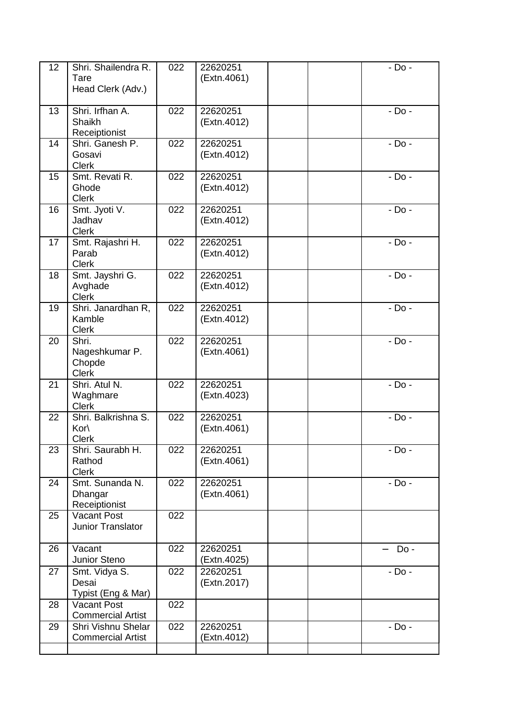| 12 | Shri. Shailendra R.<br>Tare<br>Head Clerk (Adv.)  | 022 | 22620251<br>(Extn.4061) | $-$ Do $-$ |
|----|---------------------------------------------------|-----|-------------------------|------------|
| 13 | Shri. Irfhan A.<br>Shaikh<br>Receiptionist        | 022 | 22620251<br>(Extn.4012) | $-$ Do $-$ |
| 14 | Shri. Ganesh P.<br>Gosavi<br><b>Clerk</b>         | 022 | 22620251<br>(Extn.4012) | $-$ Do $-$ |
| 15 | Smt. Revati R.<br>Ghode<br><b>Clerk</b>           | 022 | 22620251<br>(Extn.4012) | - Do -     |
| 16 | Smt. Jyoti V.<br>Jadhav<br><b>Clerk</b>           | 022 | 22620251<br>(Extn.4012) | $-$ Do $-$ |
| 17 | Smt. Rajashri H.<br>Parab<br><b>Clerk</b>         | 022 | 22620251<br>(Extn.4012) | - Do -     |
| 18 | Smt. Jayshri G.<br>Avghade<br><b>Clerk</b>        | 022 | 22620251<br>(Extn.4012) | $-$ Do $-$ |
| 19 | Shri. Janardhan R,<br>Kamble<br><b>Clerk</b>      | 022 | 22620251<br>(Extn.4012) | - Do -     |
| 20 | Shri.<br>Nageshkumar P.<br>Chopde<br><b>Clerk</b> | 022 | 22620251<br>(Extn.4061) | $-$ Do $-$ |
| 21 | Shri. Atul N.<br>Waghmare<br><b>Clerk</b>         | 022 | 22620251<br>(Extn.4023) | - Do -     |
| 22 | Shri. Balkrishna S.<br>Kor<br><b>Clerk</b>        | 022 | 22620251<br>(Extn.4061) | - Do -     |
| 23 | Shri. Saurabh H.<br>Rathod<br><b>Clerk</b>        | 022 | 22620251<br>(Extn.4061) | - Do -     |
| 24 | Smt. Sunanda N.<br>Dhangar<br>Receiptionist       | 022 | 22620251<br>(Extn.4061) | $-$ Do $-$ |
| 25 | <b>Vacant Post</b><br>Junior Translator           | 022 |                         |            |
| 26 | Vacant<br>Junior Steno                            | 022 | 22620251<br>(Extn.4025) | Do -       |
| 27 | Smt. Vidya S.<br>Desai<br>Typist (Eng & Mar)      | 022 | 22620251<br>(Extn.2017) | - Do -     |
| 28 | <b>Vacant Post</b><br><b>Commercial Artist</b>    | 022 |                         |            |
| 29 | Shri Vishnu Shelar<br><b>Commercial Artist</b>    | 022 | 22620251<br>(Extn.4012) | - Do -     |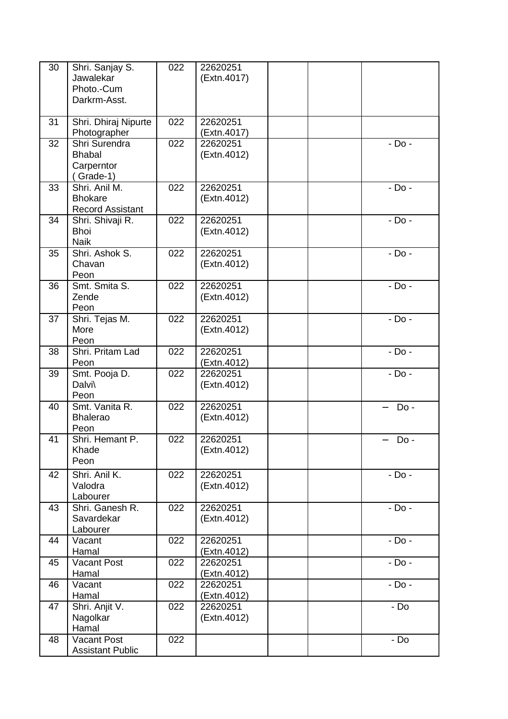| 30 | Shri. Sanjay S.<br>Jawalekar<br>Photo.-Cum<br>Darkrm-Asst. | 022 | 22620251<br>(Extn.4017) |  |            |
|----|------------------------------------------------------------|-----|-------------------------|--|------------|
| 31 | Shri. Dhiraj Nipurte<br>Photographer                       | 022 | 22620251<br>(Extn.4017) |  |            |
| 32 | Shri Surendra<br><b>Bhabal</b><br>Carperntor<br>Grade-1)   | 022 | 22620251<br>(Extn.4012) |  | $-$ Do $-$ |
| 33 | Shri, Anil M.<br><b>Bhokare</b><br><b>Record Assistant</b> | 022 | 22620251<br>(Extn.4012) |  | $-$ Do $-$ |
| 34 | Shri. Shivaji R.<br><b>Bhoi</b><br><b>Naik</b>             | 022 | 22620251<br>(Extn.4012) |  | - Do -     |
| 35 | Shri, Ashok S.<br>Chavan<br>Peon                           | 022 | 22620251<br>(Extn.4012) |  | $-$ Do $-$ |
| 36 | Smt. Smita S.<br>Zende<br>Peon                             | 022 | 22620251<br>(Extn.4012) |  | $-$ Do $-$ |
| 37 | Shri. Tejas M.<br>More<br>Peon                             | 022 | 22620251<br>(Extn.4012) |  | $-$ Do $-$ |
| 38 | Shri. Pritam Lad<br>Peon                                   | 022 | 22620251<br>(Extn.4012) |  | $-$ Do $-$ |
| 39 | Smt. Pooja D.<br>Dalvi\<br>Peon                            | 022 | 22620251<br>(Extn.4012) |  | $-$ Do $-$ |
| 40 | Smt. Vanita R.<br><b>Bhalerao</b><br>Peon                  | 022 | 22620251<br>(Extn.4012) |  | Do -       |
| 41 | Shri. Hemant P.<br>Khade<br>Peon                           | 022 | 22620251<br>(Extn.4012) |  | Do -       |
| 42 | Shri. Anil K.<br>Valodra<br>Labourer                       | 022 | 22620251<br>(Extn.4012) |  | $-$ Do $-$ |
| 43 | Shri. Ganesh R.<br>Savardekar<br>Labourer                  | 022 | 22620251<br>(Extn.4012) |  | $-$ Do $-$ |
| 44 | Vacant<br>Hamal                                            | 022 | 22620251<br>(Extn.4012) |  | - Do -     |
| 45 | Vacant Post<br>Hamal                                       | 022 | 22620251<br>(Extn.4012) |  | $-$ Do $-$ |
| 46 | Vacant<br>Hamal                                            | 022 | 22620251<br>(Extn.4012) |  | $-$ Do $-$ |
| 47 | Shri. Anjit V.<br>Nagolkar<br>Hamal                        | 022 | 22620251<br>(Extn.4012) |  | - Do       |
| 48 | Vacant Post<br><b>Assistant Public</b>                     | 022 |                         |  | - Do       |